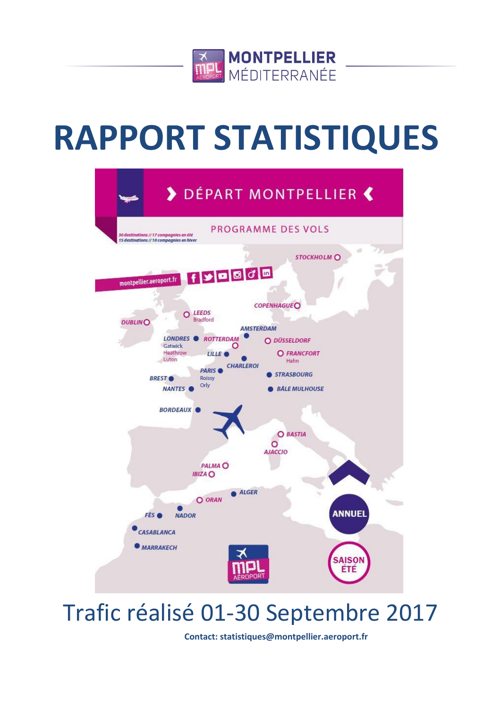

# **RAPPORT STATISTIQUES**



## Trafic réalisé 01-30 Septembre 2017

**Contact: statistiques@montpellier.aeroport.fr**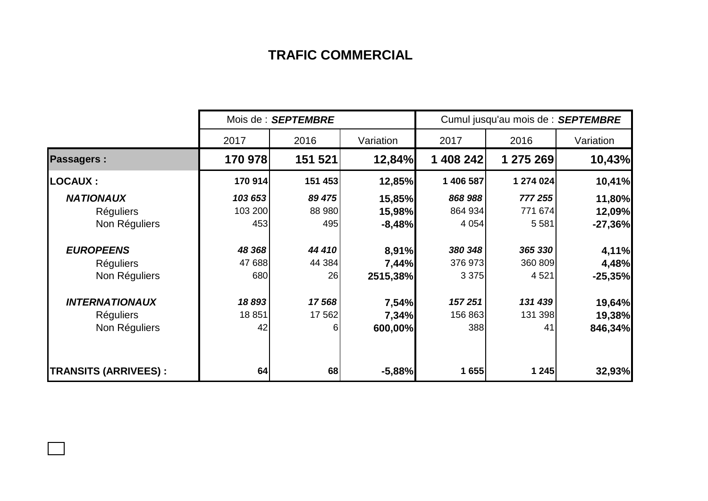## **TRAFIC COMMERCIAL**

|                              | Mois de : SEPTEMBRE |                  |           | Cumul jusqu'au mois de : SEPTEMBRE |           |           |  |
|------------------------------|---------------------|------------------|-----------|------------------------------------|-----------|-----------|--|
|                              | 2017                | 2016             | Variation | 2017                               | 2016      | Variation |  |
| <b>Passagers:</b>            | 170 978             | 151 521          | 12,84%    | 1 408 242                          | 1 275 269 | 10,43%    |  |
| <b>LOCAUX :</b>              | 170 914             | 151 453          | 12,85%    | 1 406 587                          | 1 274 024 | 10,41%    |  |
| <b>NATIONAUX</b>             | 103 653             | 89 475           | 15,85%    | 868 988                            | 777 255   | 11,80%    |  |
| <b>Réguliers</b>             | 103 200             | 88 980           | 15,98%    | 864 934                            | 771 674   | 12,09%    |  |
| Non Réguliers                | 453                 | 495              | $-8,48%$  | 4 0 54                             | 5581      | $-27,36%$ |  |
| <b>EUROPEENS</b>             | 48 368              | 44 410           | 8,91%     | 380 348                            | 365 330   | 4,11%     |  |
| <b>Réguliers</b>             | 47 688              | 44 384           | 7,44%     | 376 973                            | 360 809   | 4,48%     |  |
| Non Réguliers                | 680                 | 26               | 2515,38%  | 3 3 7 5                            | 4 5 21    | $-25,35%$ |  |
| <b>INTERNATIONAUX</b>        | 18893               | 17568            | 7,54%     | 157 251                            | 131 439   | 19,64%    |  |
| <b>Réguliers</b>             | 18851               | 17 562           | 7,34%     | 156 863                            | 131 398   | 19,38%    |  |
| Non Réguliers                | 42                  | $6 \overline{6}$ | 600,00%   | 388                                | 41        | 846,34%   |  |
| <b>TRANSITS (ARRIVEES) :</b> | 64                  | 68               | $-5,88%$  | 1655                               | 1 2 4 5   | 32,93%    |  |

 $\Box$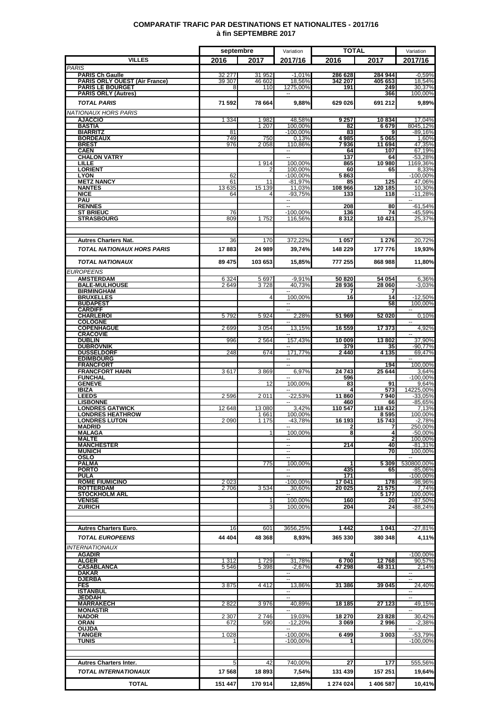|                                                         | septembre          |                  | Variation                             | <b>TOTAL</b>       |                    | Variation                         |  |
|---------------------------------------------------------|--------------------|------------------|---------------------------------------|--------------------|--------------------|-----------------------------------|--|
| <b>VILLES</b>                                           | 2016               | 2017             | 2017/16                               | 2016               | 2017               | 2017/16                           |  |
| <b>PARIS</b>                                            |                    |                  |                                       |                    |                    |                                   |  |
| <b>PARIS Ch Gaulle</b><br>PARIS ORLY OUEST (Air France) | 32 277<br>39 307   | 31 952<br>46 602 | $-1,01%$<br>18,56%                    | 286 628<br>342 207 | 284 944<br>405 653 | $-0.59%$<br>18,54%                |  |
| <b>PARIS LE BOURGET</b>                                 | 8                  | 110              | 1275,00%                              | 191                | 249                | 30,37%                            |  |
| <b>PARIS ORLY (Autres)</b>                              |                    |                  |                                       |                    | 366                | 100,00%                           |  |
| <b>TOTAL PARIS</b>                                      | 71 592             | 78 664           | 9,88%                                 | 629 026            | 691 212            | 9,89%                             |  |
| NATIONAUX HORS PARIS                                    |                    |                  |                                       |                    |                    |                                   |  |
| <b>AJACCIO</b>                                          | 1 3 3 4            | 1982             | 48,58%                                | 9 257              | 10834              | 17,04%                            |  |
| <b>BASTIA</b><br><b>BIARRITZ</b>                        | 81                 | 1 207            | 100.00%<br>$-100,00%$                 | 82<br>83           | 6679<br>9          | 8045,12%<br>$-89,16%$             |  |
| <b>BORDEAUX</b>                                         | 749                | 750              | 0,13%                                 | 4985               | 5065               | 1,60%                             |  |
| <b>BREST</b>                                            | 976                | 2 0 5 8          | 110,86%                               | 7936               | 11 694             | 47,35%                            |  |
| <b>CAEN</b><br><b>CHALON VATRY</b>                      |                    |                  | --<br>Ξ.                              | 64<br>137          | 107<br>64          | 67,19%<br>-53,28%                 |  |
| <b>LILLE</b>                                            |                    | 1914             | 100,00%                               | 865                | 10 980             | 1169,36%                          |  |
| <b>LORIENT</b><br><b>LYON</b>                           | 62                 |                  | 100,00%<br>$-100,00%$                 | 60<br>5863         | 65                 | 8,33%<br>$-100,00%$               |  |
| <b>METZ NANCY</b>                                       | 61                 | 11               | $-81.97%$                             | 85                 | 125                | 47,06%                            |  |
| <b>NANTES</b>                                           | 13 635             | 15 139           | 11,03%                                | 108 966            | 120 185            | 10,30%                            |  |
| <b>NICE</b><br><b>PAU</b>                               | 64                 |                  | $-93,75%$<br>$\overline{\phantom{a}}$ | 133                | 118                | $-11,28%$                         |  |
| <b>RENNES</b>                                           |                    |                  | ۰.                                    | 208                | 80                 | $-61,54%$                         |  |
| <b>ST BRIEUC</b>                                        | 76                 |                  | $-100,00%$                            | 136                | 74                 | -45,59%                           |  |
| <b>STRASBOURG</b>                                       | 809                | 1752             | 116,56%                               | 8312               | 10 4 21            | 25,37%                            |  |
|                                                         |                    |                  |                                       |                    |                    |                                   |  |
| <b>Autres Charters Nat.</b>                             | 36                 | 170              | 372,22%                               | 1 0 5 7            | 1 2 7 6            | 20,72%                            |  |
| TOTAL NATIONAUX HORS PARIS                              | 17883              | 24 989           | 39,74%                                | 148 229            | 177 776            | 19,93%                            |  |
|                                                         |                    |                  |                                       |                    |                    |                                   |  |
| <b>TOTAL NATIONAUX</b>                                  | 89 475             | 103 653          | 15,85%                                | 777 255            | 868 988            | 11,80%                            |  |
| <b>EUROPEENS</b>                                        |                    |                  |                                       |                    |                    |                                   |  |
| <b>AMSTERDAM</b>                                        | 6 3 2 4            | 5 6 9 7          | $-9,91%$                              | 50 820             | 54 054             | 6,36%                             |  |
| <b>BALE-MULHOUSE</b><br><b>BIRMINGHAM</b>               | 2649               | 3728             | 40.73%                                | 28 936             | 28 060             | $-3,03%$                          |  |
| <b>BRUXELLES</b>                                        |                    | 4                | 100,00%                               | 16                 | 14                 | $-12,50%$                         |  |
| <b>BUDAPEST</b>                                         |                    |                  | $\sim$                                |                    | 58                 | 100,00%                           |  |
| <b>CARDIFF</b><br><b>CHARLEROI</b>                      | 5792               | 5924             | ۰.<br>2,28%                           | 51 969             | 52 020             | $\overline{\phantom{a}}$<br>0,10% |  |
| <b>COLOGNE</b>                                          |                    |                  |                                       |                    |                    | $\sim$                            |  |
| <b>COPENHAGUE</b>                                       | 2699               | 3 0 5 4          | 13,15%                                | 16 559             | 17 373             | 4,92%                             |  |
| <b>CRACOVIE</b><br><b>DUBLIN</b>                        | 996                | 2 5 64           | 157,43%                               | 10 009             | 13802              | 37,90%                            |  |
| <b>DUBROVNIK</b>                                        |                    |                  |                                       | 379                | 35                 | $-90,77\%$                        |  |
| <b>DUSSELDORF</b><br><b>EDIMBOURG</b>                   | 248                | 674              | 171,77%                               | 2440               | 4 1 3 5            | 69,47%                            |  |
| <b>FRANCFORT</b>                                        |                    |                  |                                       |                    | 194                | 100,00%                           |  |
| <b>FRANCFORT HAHN</b>                                   | 3617               | 3869             | 6,97%                                 | 24 743             | 25 644             | 3,64%                             |  |
| <b>FUNCHAL</b><br><b>GENEVE</b>                         |                    | 12               | 100,00%                               | 596<br>83          | 91                 | $-100,00\%$<br>9,64%              |  |
| <b>IBIZA</b>                                            |                    |                  |                                       | 4                  | 573                | 14225,00%                         |  |
| <b>LEEDS</b>                                            | 2596               | 2011             | $-22,53%$                             | 11860              | 7940               | $-33,05%$                         |  |
| <b>LISBONNE</b><br><b>LONDRES GATWICK</b>               | 12 648             | 13 080           | 3,42%                                 | 460<br>110 547     | 66<br>118 432      | $-85,65%$<br>7,13%                |  |
| <b>LONDRES HEATHROW</b>                                 |                    | 1661             | 100,00%                               |                    | 8595               | 100,00%                           |  |
| <b>LONDRES LUTON</b>                                    | 2 0 9 0            | 11/5             | -43,78%                               | 16 193             | 15 743             | $-2,78%$                          |  |
| MADRID<br><b>MALAGA</b>                                 |                    |                  | 100,00%                               | 2<br>8             | 7<br>4             | 250,00%<br>$-50,00%$              |  |
| <b>MALTE</b>                                            |                    |                  | $\overline{\phantom{a}}$              |                    | $\overline{2}$     | 100,00%                           |  |
| <b>MANCHESTER</b>                                       |                    |                  | $\overline{\phantom{a}}$              | 214                | 40                 | $-81,31%$                         |  |
| <b>MUNICH</b><br>OSLO                                   |                    |                  | --<br>÷.                              |                    | 70                 | 100,00%<br>$\sim$                 |  |
| <b>PALMA</b>                                            |                    | 775              | 100.00%                               | 1                  | 5 3 0 9            | 530800,00%                        |  |
| <b>PORTO</b><br><b>PULA</b>                             |                    |                  |                                       | 435<br>171         | 65                 | -85,06%<br>$-100,00%$             |  |
| <b>ROME FIUMICINO</b>                                   | 2023               |                  | $-100,00%$                            | 17041              | 178                | $-98,96%$                         |  |
| <b>ROTTERDAM</b>                                        | 2706               | 3534             | 30,60%                                | 20 025             | 21 575             | 7,74%                             |  |
| <b>STOCKHOLM ARL</b><br><b>VENISE</b>                   |                    |                  | $\sim$<br>100.00%                     | 160                | 5 177<br>20        | 100,00%<br>$-87,50%$              |  |
| <b>ZURICH</b>                                           |                    |                  | 100,00%                               | 204                | 24                 | $-88,24%$                         |  |
|                                                         |                    |                  |                                       |                    |                    |                                   |  |
|                                                         |                    |                  |                                       |                    |                    |                                   |  |
| <b>Autres Charters Euro.</b>                            | 16                 | 601              | 3656,25%                              | 1442               | 1 0 4 1            | $-27,81%$                         |  |
| <b>TOTAL EUROPEENS</b>                                  | 44 404             | 48 368           | 8,93%                                 | 365 330            | 380 348            | 4,11%                             |  |
| <i>INTERNATIONAUX</i>                                   |                    |                  |                                       |                    |                    |                                   |  |
| AGADIR                                                  |                    |                  | $\sim$                                | 4                  |                    | $-100,00%$                        |  |
| <b>ALGER</b><br>CASABLANCA                              | 1 3 1 2<br>5 5 4 6 | 1729<br>5 3 9 8  | 31,78%<br>$-2,67%$                    | 6700<br>47 298     | 12768<br>48 311    | 90,57%<br>2,14%                   |  |
| DAKAR                                                   |                    |                  | $\sim$                                |                    |                    | $\sim$ $\sim$                     |  |
| <u>DJERBA</u>                                           |                    |                  |                                       |                    |                    | $\sim$<br>24,40%                  |  |
| <b>FES</b><br><b>ISTANBUL</b>                           | 3875               | 4 4 1 2          | 13,86%                                | 31 386             | 39 045             |                                   |  |
| <b>JEDDAH</b>                                           |                    |                  | $\sim$                                |                    |                    | $\overline{\phantom{a}}$          |  |
| <b>MARRAKECH</b><br><b>MONASTIR</b>                     | 2822               | 3976             | 40,89%<br>$\sim$                      | 18 185             | 27 123             | 49,15%<br>$\sim$                  |  |
| <b>NADOR</b>                                            | 2 3 0 7            | 2746             | 19,03%                                | 18 270             | 23828              | 30,42%                            |  |
| ORAN                                                    | 672                | 590              | $-12,20%$                             | 3069               | 2 996              | $-2,38%$                          |  |
| <b>OUJDA</b><br><b>TANGER</b>                           | 1 0 28             |                  | $\overline{a}$<br>$-100,00%$          | 6499               | 3 003              | $-53,79%$                         |  |
| <b>TUNIS</b>                                            | 1                  |                  | $-100.00\%$                           | 1                  |                    | $-100,00%$                        |  |
|                                                         |                    |                  |                                       |                    |                    |                                   |  |
|                                                         |                    |                  |                                       |                    |                    |                                   |  |
| <b>Autres Charters Inter.</b>                           | 5                  | 42               | 740,00%                               | 27                 | 177                | 555,56%                           |  |
| TOTAL INTERNATIONAUX                                    | 17 568             | 18893            | 7,54%                                 | 131 439            | 157 251            | 19,64%                            |  |

**TOTAL 151 447 170 914 12,85% 1 274 024 1 406 587 10,41%**

### **COMPARATIF TRAFIC PAR DESTINATIONS ET NATIONALITES - 2017/16 à fin SEPTEMBRE 2017**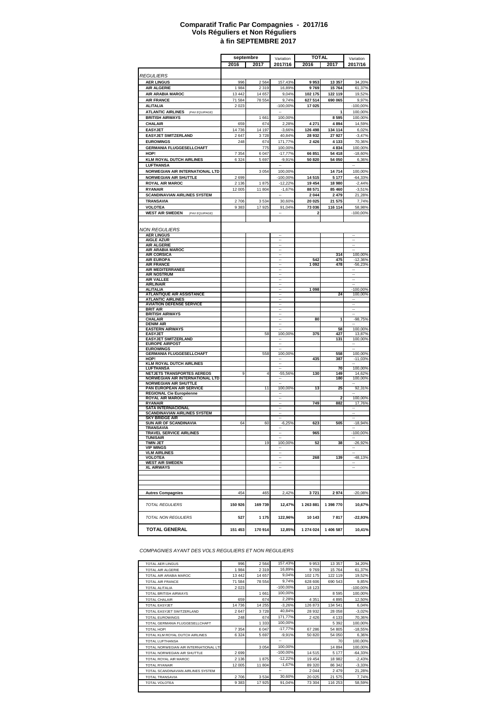#### **à fin SEPTEMBRE 2017 Comparatif Trafic Par Compagnies - 2017/16 Vols Réguliers et Non Réguliers**

|                                                                      | septembre |                | Variation                                            |                   | TOTAL                   |                                        |
|----------------------------------------------------------------------|-----------|----------------|------------------------------------------------------|-------------------|-------------------------|----------------------------------------|
|                                                                      | 2016      | 2017           | 2017/16                                              | 2016              | 2017                    | Variation<br>2017/16                   |
|                                                                      |           |                |                                                      |                   |                         |                                        |
| <i>REGULIERS</i>                                                     |           |                |                                                      |                   |                         |                                        |
| <b>AER LINGUS</b>                                                    | 996       | 2564           | 157,43%                                              | 9953              | 13 357                  | 34,20%                                 |
| <b>AIR ALGERIE</b>                                                   | 1984      | 2 3 1 9        | 16,89%                                               | 9769              | 15764                   | 61,37%                                 |
| AIR ARABIA MAROC                                                     | 13 442    | 14 657         | 9.04%                                                | 102 175           | 122 119                 | 19,52%                                 |
| <b>AIR FRANCE</b>                                                    | 71 584    | 78 554         | 9,74%                                                | 627 514           | 690 065                 | 9,97%                                  |
| <b>ALITALIA</b>                                                      | 2 0 23    |                | $-100,00%$                                           | 17 025            |                         | $-100,00%$                             |
| <b>ATLANTIC AIRLINES</b><br>(PAX EQUIPAGE)<br><b>BRITISH AIRWAYS</b> |           | 1661           | 100,00%                                              |                   | 8595                    | 100,00%<br>100,00%                     |
| CHALAIR                                                              | 659       | 674            | 2,28%                                                | 4 271             | 4894                    | 14,59%                                 |
| <b>EASYJET</b>                                                       | 14 736    | 14 197         | $-3,66%$                                             | 126 498           | 134 114                 | 6,02%                                  |
| <b>EASYJET SWITZERLAND</b>                                           | 2647      | 3728           | 40,84%                                               | 28 932            | 27 927                  | $-3,47%$                               |
| <b>EUROWINGS</b>                                                     | 248       | 674            | 171,77%                                              | 2 4 2 6           | 4 1 3 3                 | 70,36%                                 |
| <b>GERMANIA FLUGGESELLCHAFT</b>                                      |           | 775            | 100,00%                                              |                   | 4834                    | 100,00%                                |
| HOP!                                                                 | 7 3 5 4   | 6 0 4 7        | $-17.77%$                                            | 66 851            | 54 418                  | $-18,60%$                              |
| <b>KLM ROYAL DUTCH AIRLINES</b>                                      | 6 3 2 4   | 5697           | $-9,91%$                                             | 50 820            | 54 050                  | 6,36%                                  |
| <b>LUFTHANSA</b>                                                     |           |                |                                                      |                   |                         |                                        |
| NORWEGIAN AIR INTERNATIONAL LTD                                      |           | 3 0 5 4        | 100,00%                                              |                   | 14714                   | 100,00%                                |
| <b>NORWEGIAN AIR SHUTTLE</b>                                         | 2699      |                | -100,00%                                             | 14 515            | 5 1 7 7                 | $-64,33%$                              |
| <b>ROYAL AIR MAROC</b>                                               | 2 1 3 6   | 1875           | $-12,22%$                                            | 19 454            | 18 980                  | $-2,44%$                               |
| <b>RYANAIR</b><br><b>SCANDINAVIAN AIRLINES SYSTEM</b>                | 12 005    | 11804          | $-1,67%$                                             | 88 571<br>2 0 4 4 | 85 460<br>2 4 7 9       | $-3,51%$                               |
| TRANSAVIA                                                            | 2706      | 3534           | 30,60%                                               | 20 025            | 21 575                  | 21,28%<br>7,74%                        |
| VOLOTEA                                                              | 9 3 8 3   | 17925          | 91,04%                                               | 73 036            | 116 114                 | 58,98%                                 |
| <b>WEST AIR SWEDEN</b><br>(PAX EQUIPAGE)                             |           |                |                                                      | 2                 |                         | $-100,00%$                             |
|                                                                      |           |                |                                                      |                   |                         |                                        |
|                                                                      |           |                |                                                      |                   |                         |                                        |
| NON REGULIERS                                                        |           |                |                                                      |                   |                         |                                        |
| <b>AER LINGUS</b><br><b>AIGLE AZUR</b>                               |           |                |                                                      |                   |                         |                                        |
| <b>AIR ALGERIE</b>                                                   |           |                |                                                      |                   |                         |                                        |
| AIR ARABIA MAROC                                                     |           |                |                                                      |                   |                         |                                        |
| <b>AIR CORSICA</b>                                                   |           |                |                                                      |                   | 314                     | 100,00%                                |
| <b>AIR EUROPA</b><br><b>AIR FRANCE</b>                               |           |                |                                                      | 542<br>1 0 9 2    | 475<br>478              | $-12,36%$<br>$-56,23%$                 |
| <b>AIR MEDITERRANEE</b>                                              |           |                |                                                      |                   |                         |                                        |
| <b>AIR NOSTRUM</b>                                                   |           |                | $\ddot{\phantom{1}}$                                 |                   |                         | ÷.                                     |
| <b>AIR VALLEE</b><br><b>AIRLINAIR</b>                                |           |                | $\overline{\phantom{a}}$<br>$\overline{\phantom{a}}$ |                   |                         | $\overline{\phantom{a}}$               |
| <b>ALITALIA</b>                                                      |           |                |                                                      | 1 0 9 8           |                         | $-100,00%$                             |
| ATLANTIQUE AIR ASSISTANCE                                            |           |                | $\overline{\phantom{a}}$                             |                   | 24                      | 100,00%                                |
| <b>ATLANTIC AIRLINES</b>                                             |           |                | $\ddot{\phantom{0}}$                                 |                   |                         | ۰.                                     |
| <b>AVIATION DEFENSE SERVICE</b><br><b>BRIT AIR</b>                   |           |                |                                                      |                   |                         | ٠.                                     |
| <b>BRITISH AIRWAYS</b>                                               |           |                | --                                                   |                   |                         | ٠.                                     |
| CHALAIR                                                              |           |                | $\overline{\phantom{a}}$                             | 80                | 1                       | $-98,75%$                              |
| <b>DENIM AIR</b><br><b>EASTERN AIRWAYS</b>                           |           |                |                                                      |                   | 58                      | 100,00%                                |
| <b>EASYJET</b>                                                       |           | 58             | 100,00%                                              | 375               | 427                     | 13,87%                                 |
| <b>EASYJET SWITZERLAND</b>                                           |           |                |                                                      |                   | 131                     | 100,00%                                |
| <b>EUROPE AIRPOST</b>                                                |           |                |                                                      |                   |                         |                                        |
| <b>EUROWINGS</b><br><b>GERMANIA FLUGGESELLCHAFT</b>                  |           | 558            | 100,00%                                              |                   | 558                     | 100,00%                                |
| HOP!                                                                 |           |                |                                                      | 435               | 387                     | $-11,03%$                              |
| <b>KLM ROYAL DUTCH AIRLINES</b>                                      |           |                |                                                      |                   |                         |                                        |
| <b>LUFTHANSA</b><br>NETJETS TRANSPORTES AEREOS                       | 9         | $\overline{4}$ | $-55,56%$                                            | 130               | 70<br>149               | 100,00%<br>14,62%                      |
| NORWEGIAN AIR INTERNATIONAL LTD                                      |           |                |                                                      |                   | 180                     | 100,00%                                |
| <b>NORWEGIAN AIR SHUTTLE</b>                                         |           |                |                                                      |                   |                         |                                        |
| PAN EUROPEAN AIR SERVICE<br><b>REGIONAL Cie Européenne</b>           |           | 11             | 100,00%                                              | 13                | 25                      | 92,31%                                 |
| <b>ROYAL AIR MAROC</b>                                               |           |                |                                                      |                   | $\overline{\mathbf{c}}$ | 100,00%                                |
| <b>RYANAIR</b>                                                       |           |                |                                                      | 749               | 882                     | 17,76%                                 |
| <b>SATA INTERNACIONAL</b>                                            |           |                |                                                      |                   |                         |                                        |
| <b>SCANDINAVIAN AIRLINES SYSTEM</b><br><b>SKY BRIDGE AIR</b>         |           |                |                                                      |                   |                         |                                        |
| SUN AIR OF SCANDINAVIA                                               | 64        | 60             | $-6,25%$                                             | 623               | 505                     | $-18,94%$                              |
| <b>TRANSAVIA</b>                                                     |           |                |                                                      |                   |                         |                                        |
| TRAVEL SERVICE AIRLINES<br><b>TUNISAIR</b>                           |           |                |                                                      | 965               |                         | $-100,00%$<br>$\overline{\phantom{a}}$ |
| <b>TWIN JET</b>                                                      |           | 19             | 100,00%                                              | 52                | 38                      | $-26,92%$                              |
| <b>VIP WINGS</b>                                                     |           |                |                                                      |                   |                         |                                        |
| <b>VLM AIRLINES</b><br><b>VOLOTEA</b>                                |           |                |                                                      | 268               | 139                     | $-48,13%$                              |
| <b>WEST AIR SWEDEN</b>                                               |           |                |                                                      |                   |                         |                                        |
| <b>XL AIRWAYS</b>                                                    |           |                |                                                      |                   |                         |                                        |
|                                                                      |           |                |                                                      |                   |                         |                                        |
|                                                                      |           |                |                                                      |                   |                         |                                        |
|                                                                      |           |                |                                                      |                   |                         |                                        |
| <b>Autres Compagnies</b>                                             | 454       | 465            | 2,42%                                                | 3721              | 2974                    | 20,08%                                 |
|                                                                      |           |                |                                                      |                   |                         |                                        |
| <b>TOTAL REGULIERS</b>                                               | 150 926   | 169 739        | 12,47%                                               | 1 263 881         | 1 398 770               | 10,67%                                 |
|                                                                      |           |                |                                                      |                   |                         |                                        |
| <b>TOTAL NON REGULIERS</b>                                           | 527       | 1 1 7 5        | 122,96%                                              | 10 143            | 7817                    | $-22,93%$                              |
|                                                                      |           |                |                                                      |                   |                         |                                        |
| <b>TOTAL GENERAL</b>                                                 | 151 453   | 170 914        | 12,85%                                               | 1 274 024         | 1 406 587               | 10,41%                                 |
|                                                                      |           |                |                                                      |                   |                         |                                        |

*COMPAGNIES AYANT DES VOLS REGULIERS ET NON REGULIERS*

| <b>TOTAL AER LINGUS</b>               | 996     | 2 5 6 4 | 157,43%    | 9953    | 13 3 5 7 | 34,20%     |
|---------------------------------------|---------|---------|------------|---------|----------|------------|
| <b>TOTAL AIR ALGERIE</b>              | 1984    | 2 3 1 9 | 16,89%     | 9769    | 15 764   | 61,37%     |
| TOTAL AIR ARABIA MAROC                | 13 4 42 | 14 657  | 9,04%      | 102 175 | 122 119  | 19,52%     |
| <b>TOTAL AIR FRANCE</b>               | 71 584  | 78 554  | 9,74%      | 628 606 | 690 543  | 9,85%      |
| <b>TOTAL ALITALIA</b>                 | 2023    |         | $-100,00%$ | 18 123  |          | $-100,00%$ |
| <b>TOTAL BRITISH AIRWAYS</b>          |         | 1661    | 100,00%    |         | 8 5 9 5  | 100,00%    |
| <b>TOTAL CHALAIR</b>                  | 659     | 674     | 2,28%      | 4 3 5 1 | 4895     | 12,50%     |
| <b>TOTAL EASYJET</b>                  | 14 736  | 14 255  | $-3,26%$   | 126 873 | 134 541  | 6,04%      |
| TOTAL EASYJET SWITZERLAND             | 2647    | 3728    | 40,84%     | 28 932  | 28 058   | $-3,02%$   |
| <b>TOTAL EUROWINGS</b>                | 248     | 674     | 171,77%    | 2 4 2 6 | 4 1 3 3  | 70,36%     |
| TOTAL GERMANIA FLUGGESELLCHAFT        |         | 1 3 3 3 | 100,00%    |         | 5 3 9 2  | 100,00%    |
| TOTAL HOP!                            | 7 3 5 4 | 6047    | $-17,77%$  | 67 286  | 54 805   | $-18,55%$  |
| TOTAL KLM ROYAL DUTCH AIRLINES        | 6 3 2 4 | 5697    | $-9,91%$   | 50 820  | 54 050   | 6,36%      |
| <b>TOTAL LUFTHANSA</b>                |         |         | --         |         | 70       | 100,00%    |
| TOTAL NORWEGIAN AIR INTERNATIONAL LTD |         | 3 0 5 4 | 100,00%    |         | 14 8 94  | 100,00%    |
| TOTAL NORWEGIAN AIR SHUTTLE           | 2699    |         | $-100,00%$ | 14 5 15 | 5 1 7 7  | $-64,33%$  |
| TOTAL ROYAL AIR MAROC                 | 2 1 3 6 | 1875    | $-12,22%$  | 19 4 54 | 18 982   | $-2,43%$   |
| <b>TOTAL RYANAIR</b>                  | 12 005  | 11804   | $-1,67%$   | 89 320  | 86 342   | $-3,33%$   |
| TOTAL SCANDINAVIAN AIRLINES SYSTEM    |         |         | --         | 2 0 4 4 | 2479     | 21,28%     |
| <b>TOTAL TRANSAVIA</b>                | 2706    | 3534    | 30.60%     | 20 0 25 | 21 575   | 7,74%      |
| <b>TOTAL VOLOTEA</b>                  | 9 3 8 3 | 17925   | 91,04%     | 73 304  | 116 253  | 58,59%     |
|                                       |         |         |            |         |          |            |